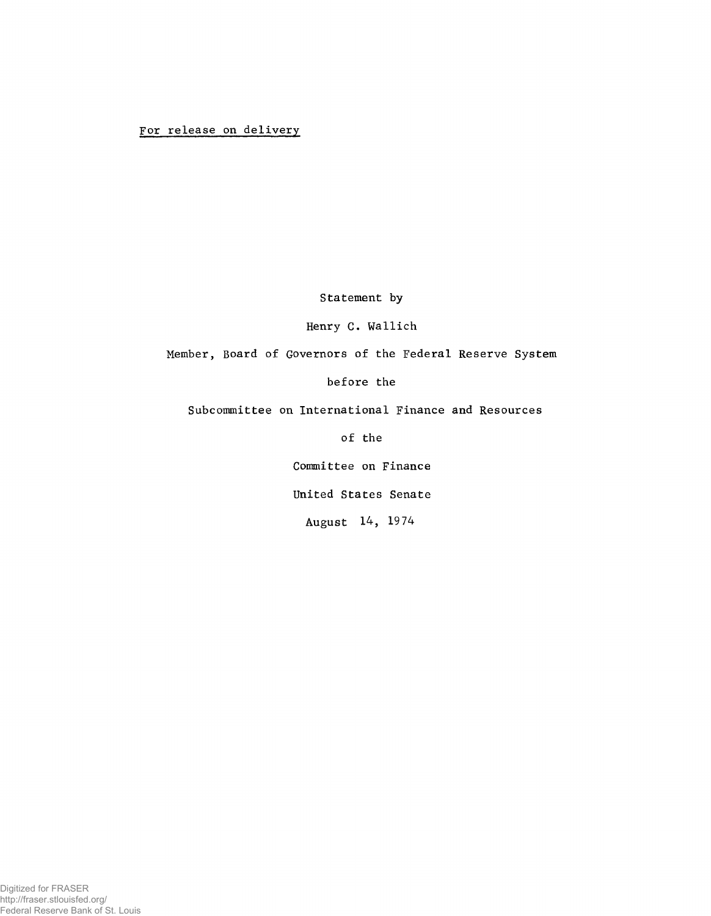## **For release on delivery**

Statement by

Henry C. Wallich

Member, Board of Governors of the Federal Reserve System

before the

Subcommittee on International Finance and Resources

of the

Committee on Finance

United States Senate

August 14, 1974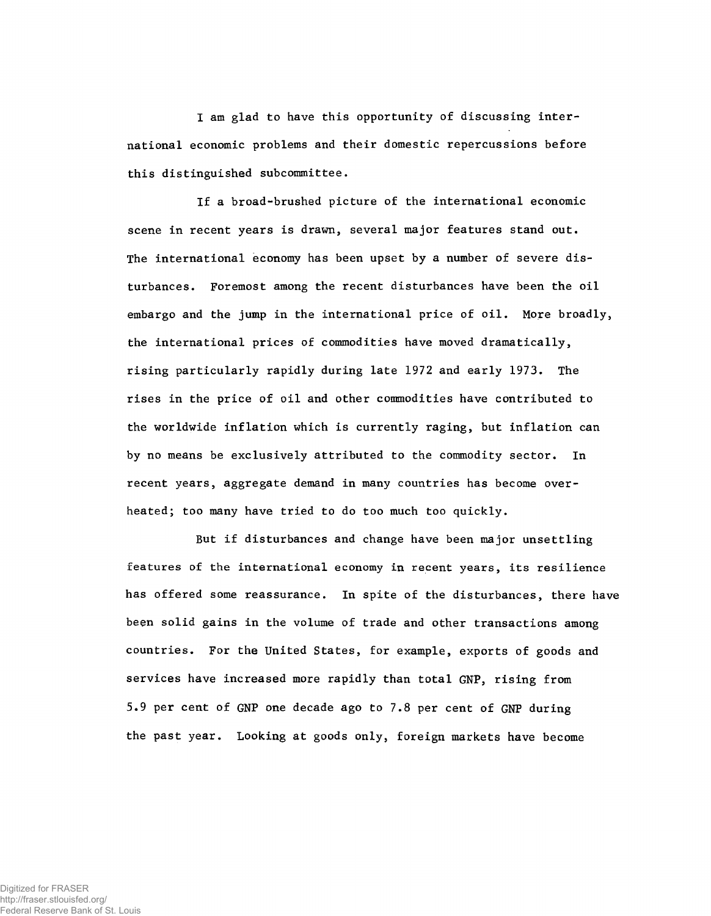I am glad to have this opportunity of discussing international economic problems and their domestic repercussions before this distinguished subcommittee.

If a broad-brushed picture of the international economic scene in recent years is drawn, several major features stand out. The international economy has been upset by a number of severe disturbances. Foremost among the recent disturbances have been the oil embargo and the jump in the international price of oil. More broadly, the international prices of commodities have moved dramatically, rising particularly rapidly during late 1972 and early 1973. The rises in the price of oil and other commodities have contributed to the worldwide inflation which is currently raging, but inflation can by no means be exclusively attributed to the commodity sector. In recent years, aggregate demand in many countries has become overheated; too many have tried to do too much too quickly.

But if disturbances and change have been major unsettling features of the international economy in recent years, its resilience has offered some reassurance. In spite of the disturbances, there have been solid gains in the volume of trade and other transactions among countries. For the United States, for example, exports of goods and services have increased more rapidly than total GNP, rising from 5.9 per cent of GNP one decade ago to 7.8 per cent of GNP during the past year. Looking at goods only, foreign markets have become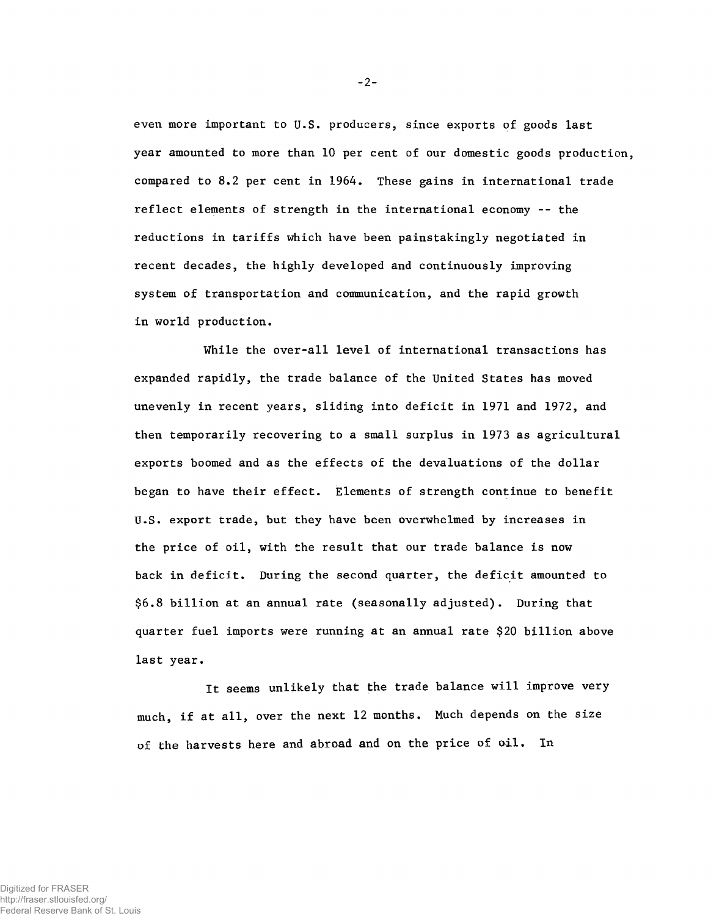even more important to U.S. producers, since exports of goods last year amounted to more than 10 per cent of our domestic goods production, compared to 8.2 per cent in 1964. These gains in international trade reflect elements of strength in the international economy -- the reductions in tariffs which have been painstakingly negotiated in recent decades, the highly developed and continuously improving system of transportation and communication, and the rapid growth in world production.

While the over-all level of international transactions has expanded rapidly, the trade balance of the United States has moved unevenly in recent years, sliding into deficit in 1971 and 1972, and then temporarily recovering to a small surplus in 1973 as agricultural exports boomed and as the effects of the devaluations of the dollar began to have their effect. Elements of strength continue to benefit U.S. export trade, but they have been overwhelmed by increases in the price of oil, with the result that our trade balance is now back in deficit. During the second quarter, the deficit amounted to \$6.8 billion at an annual rate (seasonally adjusted). During that quarter fuel imports were running at an annual rate \$20 billion above last year.

It seems unlikely that the trade balance will improve very much, if at all, over the next 12 months. Much depends on the size of the harvests here and abroad and on the price of oil. In

**-2-**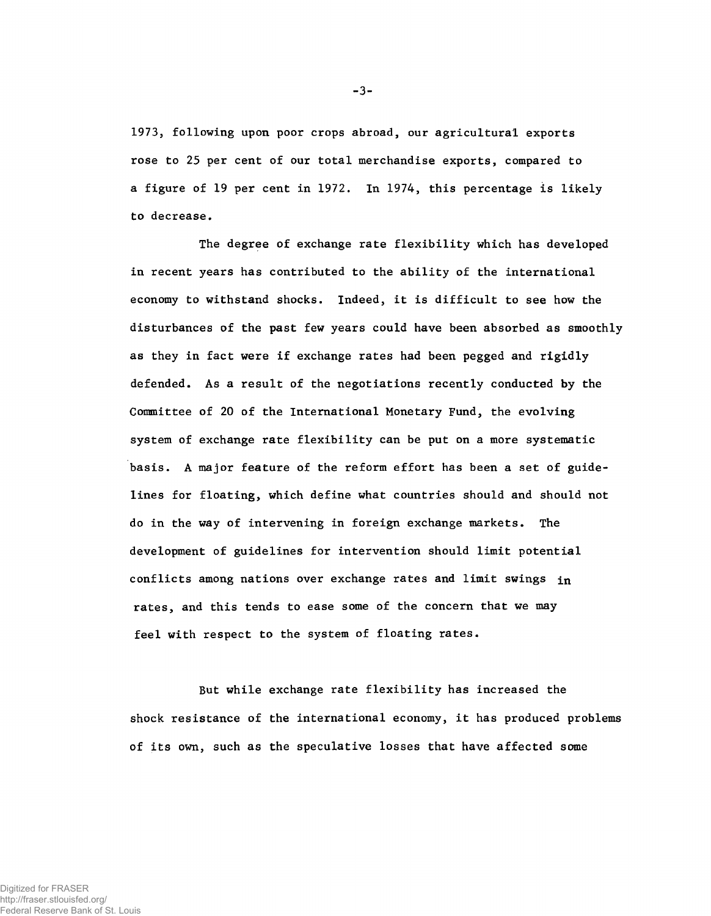1973, following upon poor crops abroad, our agricultural exports rose to 25 per cent of our total merchandise exports, compared to a figure of 19 per cent in 1972. In 1974, this percentage is likely to decrease.

The degree of exchange rate flexibility which has developed in recent years has contributed to the ability of the international economy to withstand shocks. Indeed, it is difficult to see how the disturbances of the past few years could have been absorbed as smoothly as they in fact were if exchange rates had been pegged and rigidly defended. As a result of the negotiations recently conducted by the Committee of 20 of the International Monetary Fund, the evolving system of exchange rate flexibility can be put on a more systematic basis. A major feature of the reform effort has been a set of guidelines for floating, which define what countries should and should not do in the way of intervening in foreign exchange markets. The development of guidelines for intervention should limit potential conflicts among nations over exchange rates and limit swings in rates, and this tends to ease some of the concern that we may feel with respect to the system of floating rates.

But while exchange rate flexibility has increased the shock resistance of the international economy, it has produced problems of its own, such as the speculative losses that have affected some

**-3-**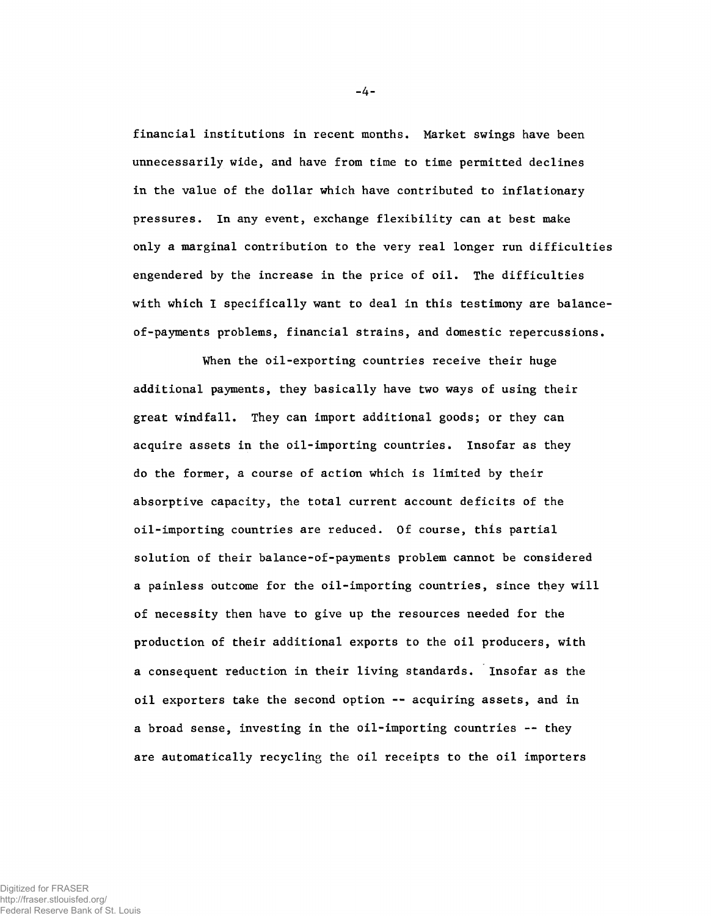financial institutions in recent months. Market swings have been unnecessarily wide, and have from time to time permitted declines in the value of the dollar which have contributed to inflationary pressures. In any event, exchange flexibility can at best make only a marginal contribution to the very real longer run difficulties engendered by the increase in the price of oil. The difficulties with which I specifically want to deal in this testimony are balanceof-payments problems, financial strains, and domestic repercussions.

When the oil-exporting countries receive their huge additional payments, they basically have two ways of using their great windfall. They can import additional goods; or they can acquire assets in the oil-importing countries. Insofar as they do the former, a course of action which is limited by their absorptive capacity, the total current account deficits of the oil-importing countries are reduced. Of course, this partial solution of their balance-of-payments problem cannot be considered a painless outcome for the oil-importing countries, since they will of necessity then have to give up the resources needed for the production of their additional exports to the oil producers, with a consequent reduction in their living standards. Insofar as the oil exporters take the second option -- acquiring assets, and in a broad sense, investing in the oil-importing countries -- they are automatically recycling the oil receipts to the oil importers

**-4-**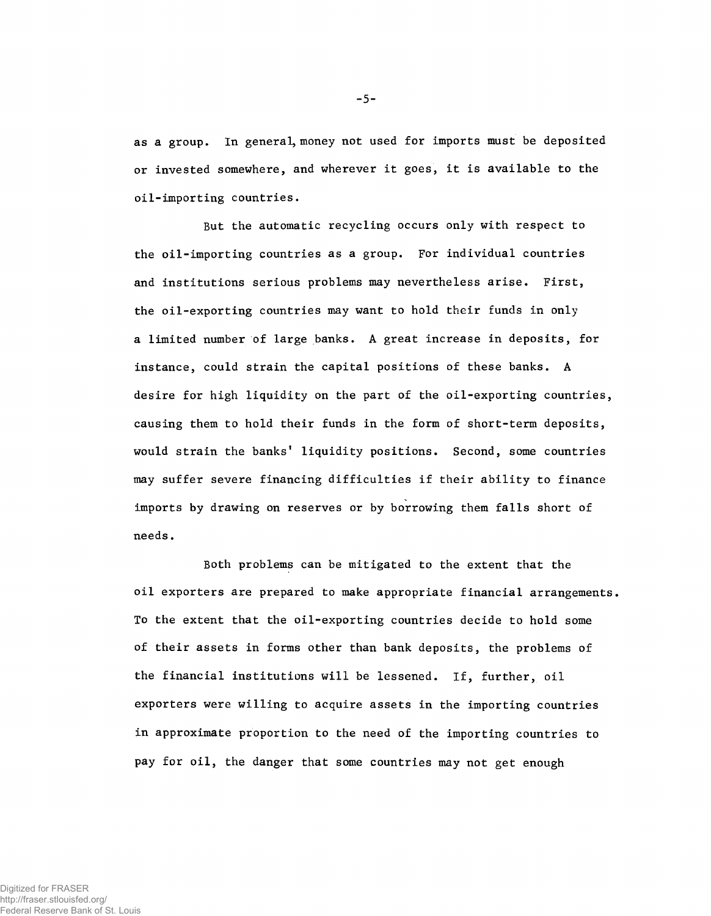as a group. In general, money not used for imports must be deposited or invested somewhere, and wherever it goes, it is available to the oil-importing countries.

But the automatic recycling occurs only with respect to the oil-importing countries as a group. For individual countries and institutions serious problems may nevertheless arise. First, the oil-exporting countries may want to hold their funds in only a limited number of large banks. A great increase in deposits, for instance, could strain the capital positions of these banks. A desire for high liquidity on the part of the oil-exporting countries, causing them to hold their funds in the form of short-term deposits, would strain the banks' liquidity positions. Second, some countries may suffer severe financing difficulties if their ability to finance imports by drawing on reserves or by borrowing them falls short of needs.

Both problems can be mitigated to the extent that the oil exporters are prepared to make appropriate financial arrangements. To the extent that the oil-exporting countries decide to hold some of their assets in forms other than bank deposits, the problems of the financial institutions will be lessened. If, further, oil exporters were willing to acquire assets in the importing countries in approximate proportion to the need of the importing countries to pay for oil, the danger that some countries may not get enough

**-5-**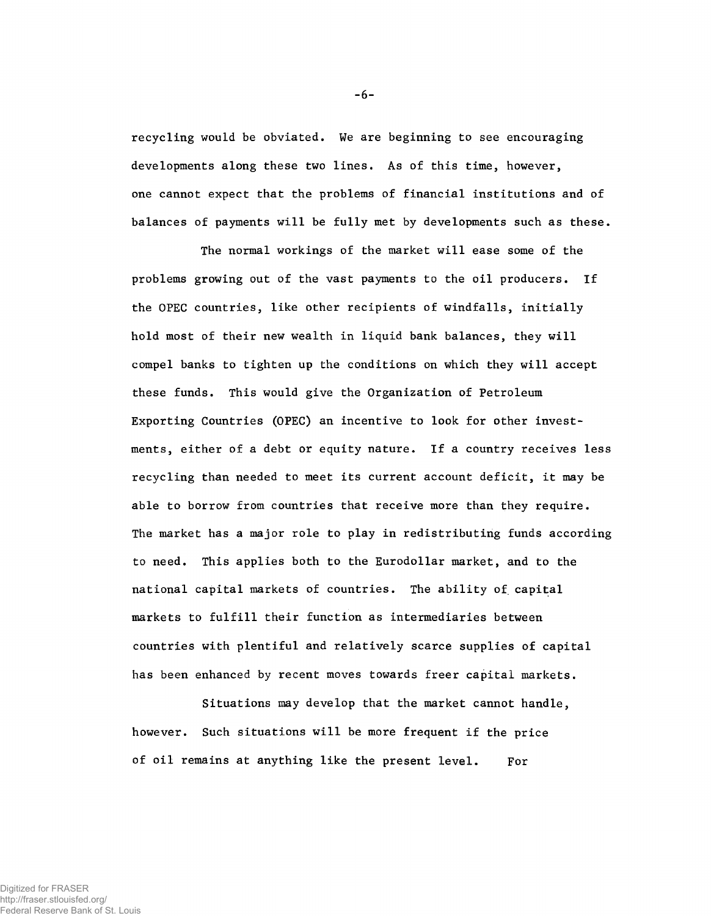recycling would be obviated. We are beginning to see encouraging developments along these two lines. As of this time, however, one cannot expect that the problems of financial institutions and of balances of payments will be fully met by developments such as these.

The normal workings of the market will ease some of the problems growing out of the vast payments to the oil producers. If the OPEC countries, like other recipients of windfalls, initially hold most of their new wealth in liquid bank balances, they will compel banks to tighten up the conditions on which they will accept these funds. This would give the Organization of Petroleum Exporting Countries (OPEC) an incentive to look for other investments, either of a debt or equity nature. If a country receives less recycling than needed to meet its current account deficit, it may be able to borrow from countries that receive more than they require. The market has a major role to play in redistributing funds according to need. This applies both to the Eurodollar market, and to the national capital markets of countries. The ability of capital markets to fulfill their function as intermediaries between countries with plentiful and relatively scarce supplies of capital has been enhanced by recent moves towards freer capital markets.

Situations may develop that the market cannot handle, however. Such situations will be more frequent if the price of oil remains at anything like the present level. For

**-6-**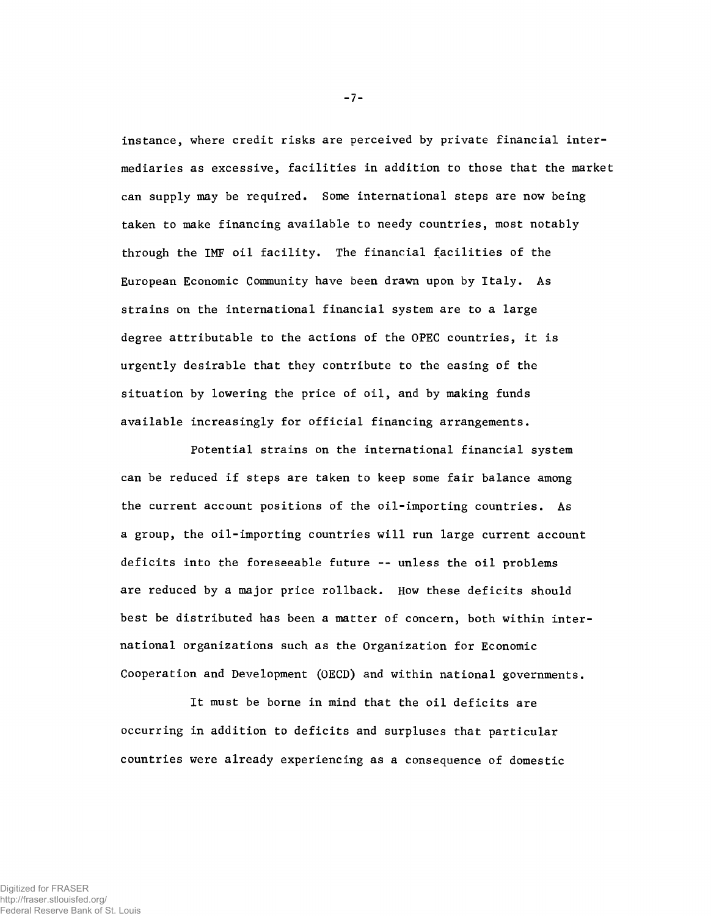instance, where credit risks are perceived by private financial intermediaries as excessive, facilities in addition to those that the market can supply may be required. Some international steps are now being taken to make financing available to needy countries, most notably through the IMF oil facility. The financial facilities of the European Economic Community have been drawn upon by Italy. As strains on the international financial system are to a large degree attributable to the actions of the OPEC countries, it is urgently desirable that they contribute to the easing of the situation by lowering the price of oil, and by making funds available increasingly for official financing arrangements.

Potential strains on the international financial system can be reduced if steps are taken to keep some fair balance among the current account positions of the oil-importing countries. As a group, the oil-importing countries will run large current account deficits into the foreseeable future -- unless the oil problems are reduced by a major price rollback. How these deficits should best be distributed has been a matter of concern, both within international organizations such as the Organization for Economic Cooperation and Development (OECD) and within national governments.

It must be borne in mind that the oil deficits are occurring in addition to deficits and surpluses that particular countries were already experiencing as a consequence of domestic

**-7-**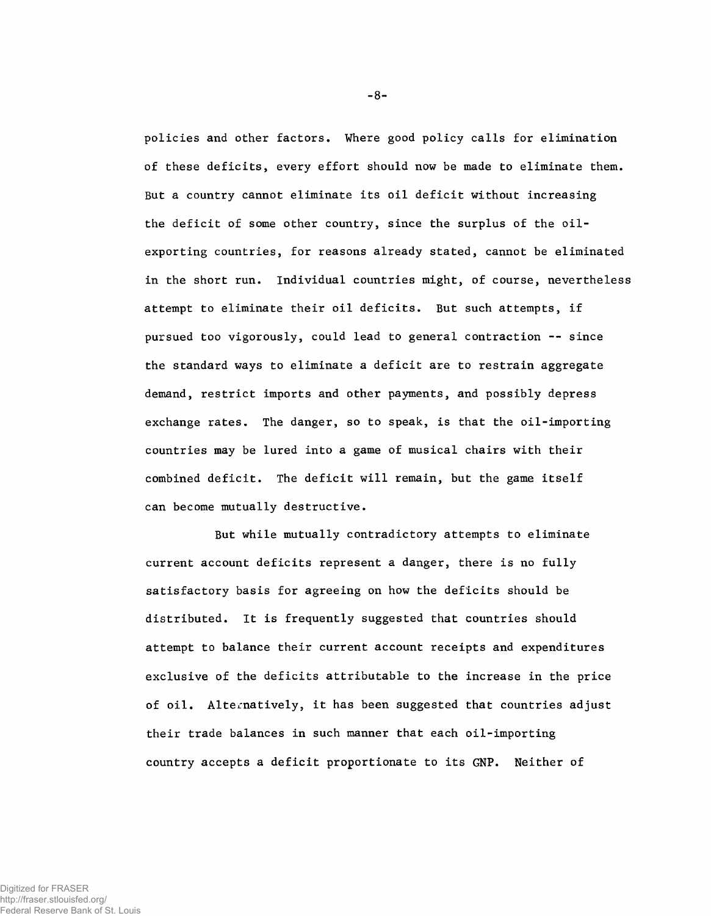policies and other factors. Where good policy calls for elimination of these deficits, every effort should now be made to eliminate them. But a country cannot eliminate its oil deficit without increasing the deficit of some other country, since the surplus of the oilexporting countries, for reasons already stated, cannot be eliminated in the short run. Individual countries might, of course, nevertheless attempt to eliminate their oil deficits. But such attempts, if pursued too vigorously, could lead to general contraction -- since the standard ways to eliminate a deficit are to restrain aggregate demand, restrict imports and other payments, and possibly depress exchange rates. The danger, so to speak, is that the oil-importing countries may be lured into a game of musical chairs with their combined deficit. The deficit will remain, but the game itself can become mutually destructive.

But while mutually contradictory attempts to eliminate current account deficits represent a danger, there is no fully satisfactory basis for agreeing on how the deficits should be distributed. It is frequently suggested that countries should attempt to balance their current account receipts and expenditures exclusive of the deficits attributable to the increase in the price of oil. Alternatively, it has been suggested that countries adjust their trade balances in such manner that each oil-importing country accepts a deficit proportionate to its GNP. Neither of

**-8-**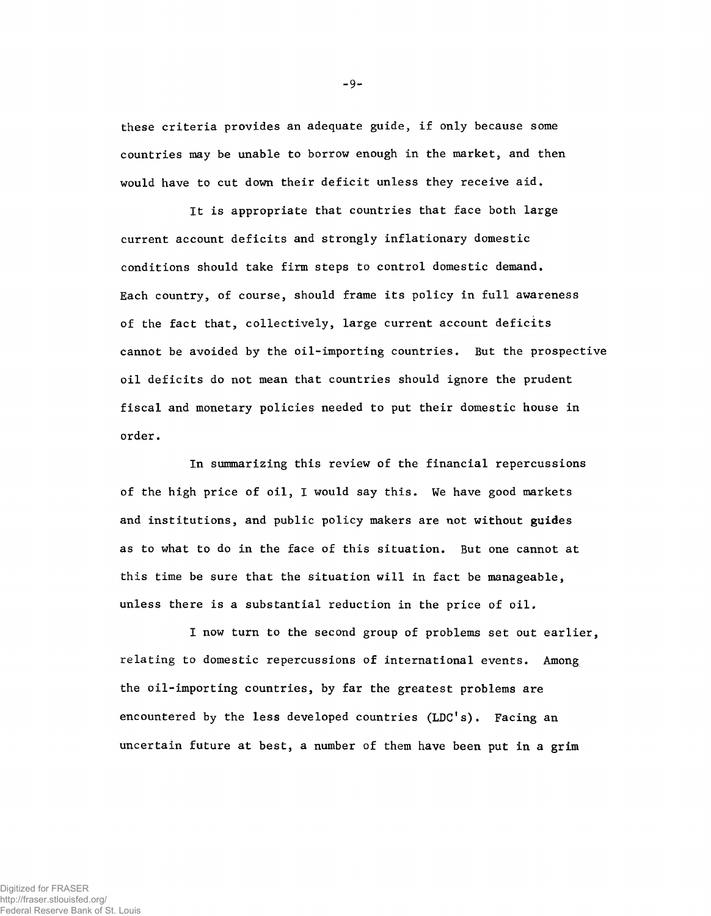these criteria provides an adequate guide, if only because some countries may be unable to borrow enough in the market, and then would have to cut down their deficit unless they receive aid.

It is appropriate that countries that face both large current account deficits and strongly inflationary domestic conditions should take firm steps to control domestic demand. Each country, of course, should frame its policy in full awareness of the fact that, collectively, large current account deficits cannot be avoided by the oil-importing countries. But the prospective oil deficits do not mean that countries should ignore the prudent fiscal and monetary policies needed to put their domestic house in order.

In summarizing this review of the financial repercussions of the high price of oil, I would say this. We have good markets and institutions, and public policy makers are not without guides as to what to do in the face of this situation. But one cannot at this time be sure that the situation will in fact be manageable, unless there is a substantial reduction in the price of oil.

I now turn to the second group of problems set out earlier, relating to domestic repercussions of international events. Among the oil-importing countries, by far the greatest problems are encountered by the less developed countries (LDC's). Facing an uncertain future at best, a number of them have been put in a grim

**-9-**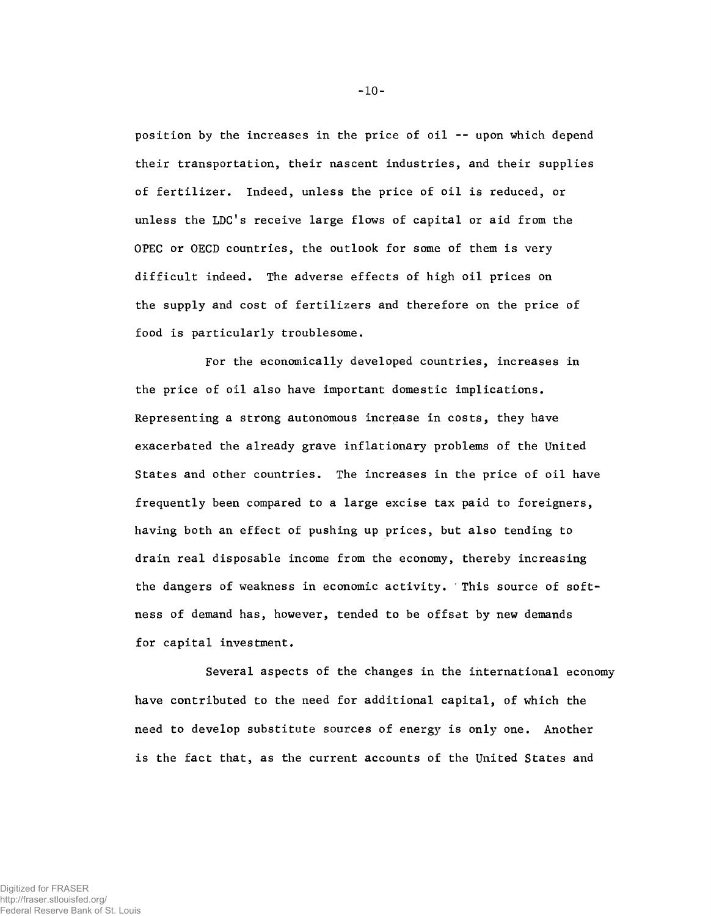position by the increases in the price of oil -- upon which depend their transportation, their nascent industries, and their supplies of fertilizer. Indeed, unless the price of oil is reduced, or unless the LDC's receive large flows of capital or aid from the OPEC or OECD countries, the outlook for some of them is very difficult indeed. The adverse effects of high oil prices on the supply and cost of fertilizers and therefore on the price of food is particularly troublesome.

For the economically developed countries, increases in the price of oil also have important domestic implications. Representing a strong autonomous increase in costs, they have exacerbated the already grave inflationary problems of the United States and other countries. The increases in the price of oil have frequently been compared to a large excise tax paid to foreigners, having both an effect of pushing up prices, but also tending to drain real disposable income from the economy, thereby increasing the dangers of weakness in economic activity. This source of softness of demand has, however, tended to be offset by new demands for capital investment.

Several aspects of the changes in the international economy have contributed to the need for additional capital, of which the need to develop substitute sources of energy is only one. Another is the fact that, as the current accounts of the United States and

**-10-**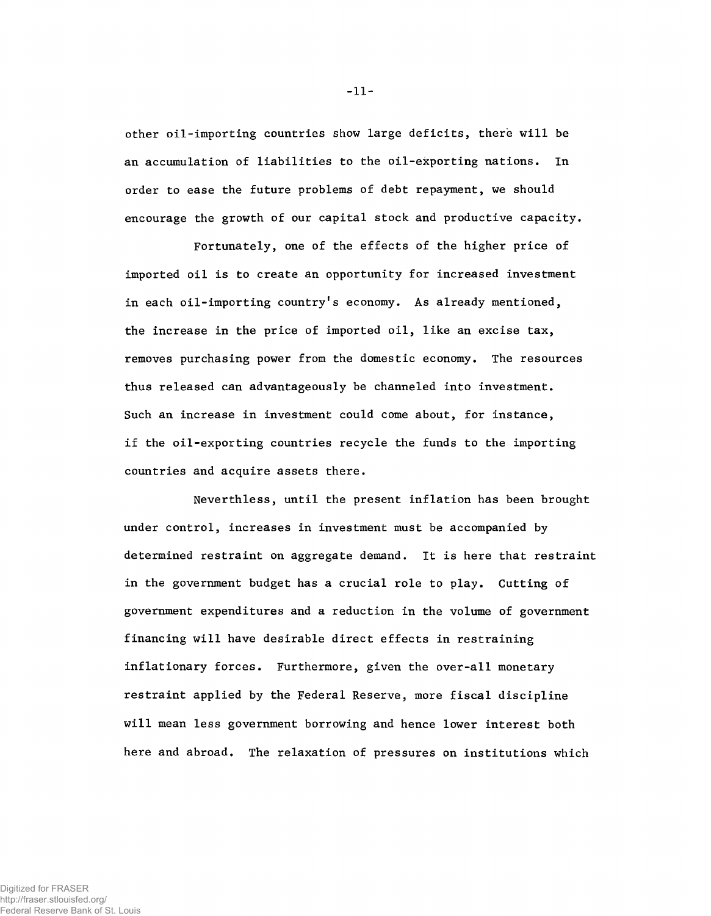other oil-importing countries show large deficits, there will be an accumulation of liabilities to the oil-exporting nations. In order to ease the future problems of debt repayment, we should encourage the growth of our capital stock and productive capacity.

Fortunately, one of the effects of the higher price of imported oil is to create an opportunity for increased investment in each oil-importing country's economy. As already mentioned, the increase in the price of imported oil, like an excise tax, removes purchasing power from the domestic economy. The resources thus released can advantageously be channeled into investment. Such an increase in investment could come about, for instance, if the oil-exporting countries recycle the funds to the importing countries and acquire assets there.

Neverthless, until the present inflation has been brought under control, increases in investment must be accompanied by determined restraint on aggregate demand. It is here that restraint in the government budget has a crucial role to play. Cutting of government expenditures and a reduction in the volume of government financing will have desirable direct effects in restraining inflationary forces. Furthermore, given the over-all monetary restraint applied by the Federal Reserve, more fiscal discipline will mean less government borrowing and hence lower interest both here and abroad. The relaxation of pressures on institutions which

**-11-**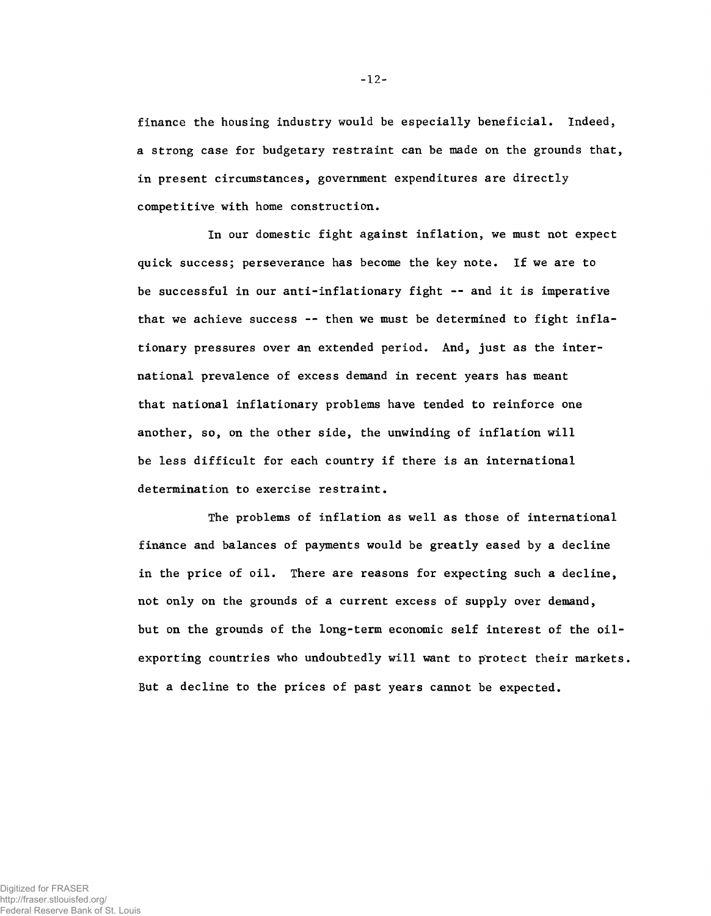finance the housing industry would be especially beneficial. Indeed, a strong case for budgetary restraint can be made on the grounds that, in present circumstances, government expenditures are directly competitive with home construction.

In our domestic fight against inflation, we must not expect quick success; perseverance has become the key note. If we are to be successful in our anti-inflationary fight -- and it is imperative that we achieve success -- then we must be determined to fight inflationary pressures over an extended period. And, just as the international prevalence of excess demand in recent years has meant that national inflationary problems have tended to reinforce one another, so, on the other side, the unwinding of inflation will be less difficult for each country if there is an international determination to exercise restraint.

The problems of inflation as well as those of international finance and balances of payments would be greatly eased by a decline in the price of oil. There are reasons for expecting such a decline, not only on the grounds of a current excess of supply over demand, but on the grounds of the long-term economic self interest of the oilexporting countries who undoubtedly will want to protect their markets. But a decline to the prices of past years cannot be expected.

**-12-**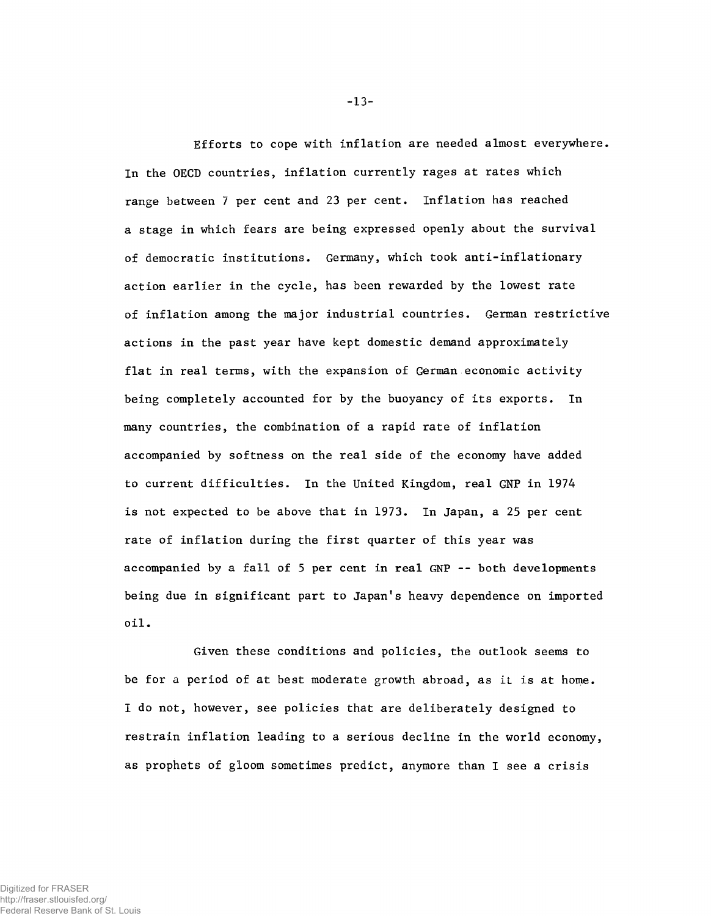Efforts to cope with inflation are needed almost everywhere. In the OECD countries, inflation currently rages at rates which range between 7 per cent and 23 per cent. Inflation has reached a stage in which fears are being expressed openly about the survival of democratic institutions. Germany, which took anti-inflationary action earlier in the cycle, has been rewarded by the lowest rate of inflation among the major industrial countries. German restrictive actions in the past year have kept domestic demand approximately flat in real terms, with the expansion of German economic activity being completely accounted for by the buoyancy of its exports. In many countries, the combination of a rapid rate of inflation accompanied by softness on the real side of the economy have added to current difficulties. In the United Kingdom, real GNP in 1974 is not expected to be above that in 1973. In Japan, a 25 per cent rate of inflation during the first quarter of this year was accompanied by a fall of 5 per cent in real GNP -- both developments being due in significant part to Japan's heavy dependence on imported oil.

Given these conditions and policies, the outlook seems to be for a period of at best moderate growth abroad, as it is at home. I do not, however, see policies that are deliberately designed to restrain inflation leading to a serious decline in the world economy, as prophets of gloom sometimes predict, anymore than I see a crisis

**-13-**